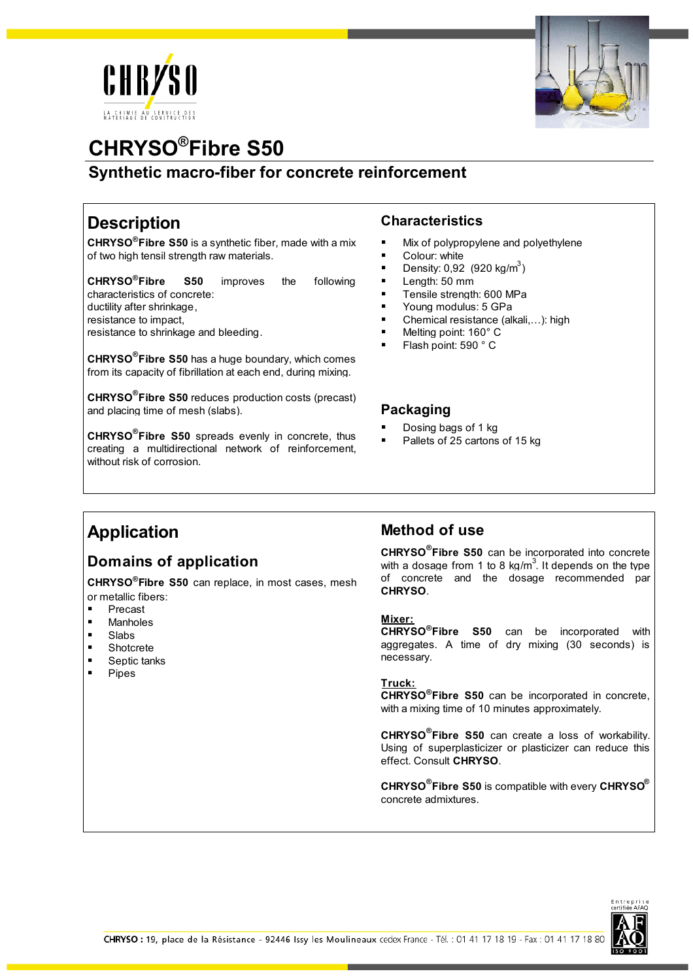



# **CHRYSO®Fibre S50**

**Synthetic macro-fiber for concrete reinforcement**

# **Description**

**CHRYSO®Fibre S50** is a synthetic fiber, made with a mix of two high tensil strength raw materials.

**CHRYSO®Fibre S50** improves the following characteristics of concrete: ductility after shrinkage, resistance to impact,

resistance to shrinkage and bleeding.

**CHRYSO® Fibre S50** has a huge boundary, which comes from its capacity of fibrillation at each end, during mixing.

**CHRYSO® Fibre S50** reduces production costs (precast) and placing time of mesh (slabs).

**CHRYSO® Fibre S50** spreads evenly in concrete, thus creating a multidirectional network of reinforcement, without risk of corrosion.

### **Characteristics**

- Mix of polypropylene and polyethylene
- Colour: white
- **•** Density: 0,92 (920 kg/m<sup>3</sup>)
- Length: 50 mm
- **Tensile strength: 600 MPa**
- **Young modulus: 5 GPa**
- Chemical resistance (alkali,...): high
- Melting point: 160° C
- Flash point: 590 ° C

#### **Packaging**

- Dosing bags of 1 kg
- Pallets of 25 cartons of 15 kg

## **Application**

## **Domains of application**

**CHRYSO®Fibre S50** can replace, in most cases, mesh or metallic fibers:

- **Precast**
- **Manholes**<br>Right
- Slabs
- **Shotcrete**
- Septic tanks
- Pipes

### **Method of use**

**CHRYSO® Fibre S50** can be incorporated into concrete with a dosage from 1 to 8 kg/m<sup>3</sup>. It depends on the type of concrete and the dosage recommended par **CHRYSO**.

#### **Mixer:**

**CHRYSO®Fibre S50** can be incorporated with aggregates. A time of dry mixing (30 seconds) is necessary.

#### **Truck:**

**CHRYSO®Fibre S50** can be incorporated in concrete, with a mixing time of 10 minutes approximately.

**CHRYSO® Fibre S50** can create a loss of workability. Using of superplasticizer or plasticizer can reduce this effect. Consult **CHRYSO**.

**CHRYSO® Fibre S50** is compatible with every **CHRYSO®** concrete admixtures.